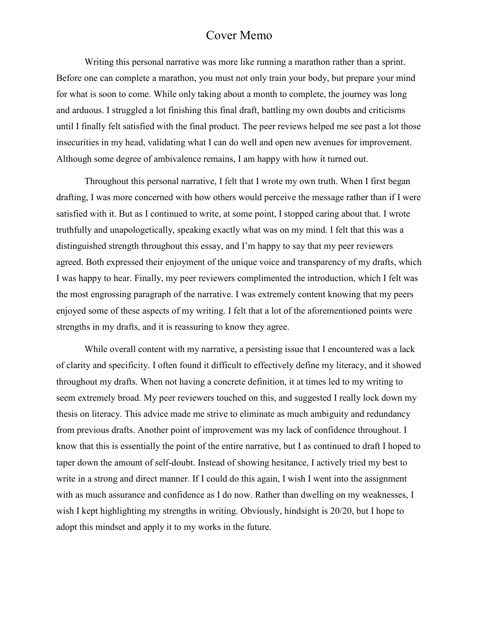## Cover Memo

Writing this personal narrative was more like running a marathon rather than a sprint. Before one can complete a marathon, you must not only train your body, but prepare your mind for what is soon to come. While only taking about a month to complete, the journey was long and arduous. I struggled a lot finishing this final draft, battling my own doubts and criticisms until I finally felt satisfied with the final product. The peer reviews helped me see past a lot those insecurities in my head, validating what I can do well and open new avenues for improvement. Although some degree of ambivalence remains, I am happy with how it turned out.

Throughout this personal narrative, I felt that I wrote my own truth. When I first began drafting, I was more concerned with how others would perceive the message rather than if I were satisfied with it. But as I continued to write, at some point, I stopped caring about that. I wrote truthfully and unapologetically, speaking exactly what was on my mind. I felt that this was a distinguished strength throughout this essay, and I'm happy to say that my peer reviewers agreed. Both expressed their enjoyment of the unique voice and transparency of my drafts, which I was happy to hear. Finally, my peer reviewers complimented the introduction, which I felt was the most engrossing paragraph of the narrative. I was extremely content knowing that my peers enjoyed some of these aspects of my writing. I felt that a lot of the aforementioned points were strengths in my drafts, and it is reassuring to know they agree.

While overall content with my narrative, a persisting issue that I encountered was a lack of clarity and specificity. I often found it difficult to effectively define my literacy, and it showed throughout my drafts. When not having a concrete definition, it at times led to my writing to seem extremely broad. My peer reviewers touched on this, and suggested I really lock down my thesis on literacy. This advice made me strive to eliminate as much ambiguity and redundancy from previous drafts. Another point of improvement was my lack of confidence throughout. I know that this is essentially the point of the entire narrative, but I as continued to draft I hoped to taper down the amount of self-doubt. Instead of showing hesitance, I actively tried my best to write in a strong and direct manner. If I could do this again, I wish I went into the assignment with as much assurance and confidence as I do now. Rather than dwelling on my weaknesses, I wish I kept highlighting my strengths in writing. Obviously, hindsight is 20/20, but I hope to adopt this mindset and apply it to my works in the future.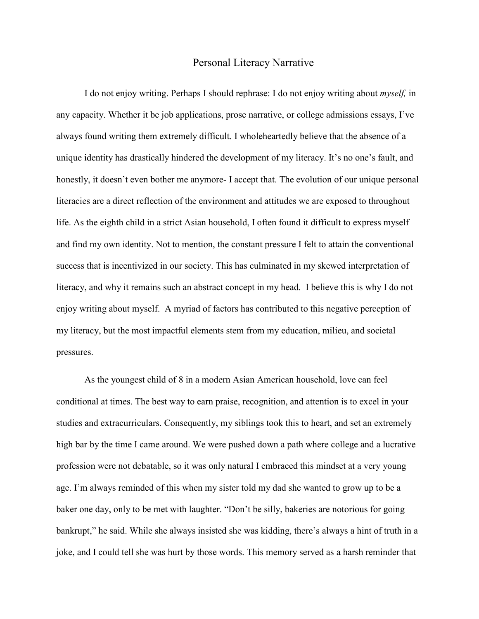## Personal Literacy Narrative

I do not enjoy writing. Perhaps I should rephrase: I do not enjoy writing about *myself,* in any capacity. Whether it be job applications, prose narrative, or college admissions essays, I've always found writing them extremely difficult. I wholeheartedly believe that the absence of a unique identity has drastically hindered the development of my literacy. It's no one's fault, and honestly, it doesn't even bother me anymore- I accept that. The evolution of our unique personal literacies are a direct reflection of the environment and attitudes we are exposed to throughout life. As the eighth child in a strict Asian household, I often found it difficult to express myself and find my own identity. Not to mention, the constant pressure I felt to attain the conventional success that is incentivized in our society. This has culminated in my skewed interpretation of literacy, and why it remains such an abstract concept in my head. I believe this is why I do not enjoy writing about myself. A myriad of factors has contributed to this negative perception of my literacy, but the most impactful elements stem from my education, milieu, and societal pressures.

As the youngest child of 8 in a modern Asian American household, love can feel conditional at times. The best way to earn praise, recognition, and attention is to excel in your studies and extracurriculars. Consequently, my siblings took this to heart, and set an extremely high bar by the time I came around. We were pushed down a path where college and a lucrative profession were not debatable, so it was only natural I embraced this mindset at a very young age. I'm always reminded of this when my sister told my dad she wanted to grow up to be a baker one day, only to be met with laughter. "Don't be silly, bakeries are notorious for going bankrupt," he said. While she always insisted she was kidding, there's always a hint of truth in a joke, and I could tell she was hurt by those words. This memory served as a harsh reminder that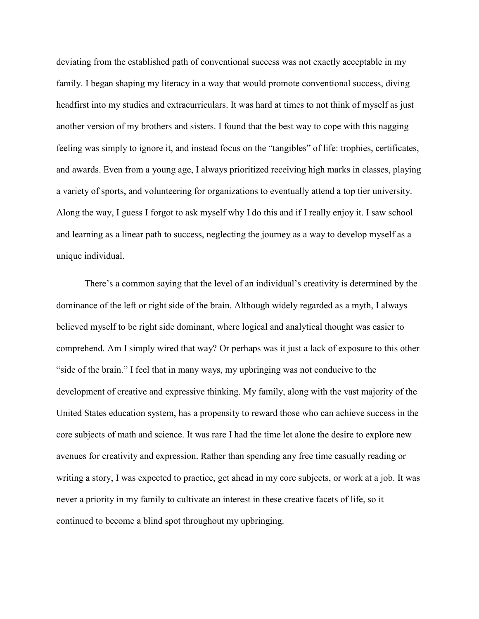deviating from the established path of conventional success was not exactly acceptable in my family. I began shaping my literacy in a way that would promote conventional success, diving headfirst into my studies and extracurriculars. It was hard at times to not think of myself as just another version of my brothers and sisters. I found that the best way to cope with this nagging feeling was simply to ignore it, and instead focus on the "tangibles" of life: trophies, certificates, and awards. Even from a young age, I always prioritized receiving high marks in classes, playing a variety of sports, and volunteering for organizations to eventually attend a top tier university. Along the way, I guess I forgot to ask myself why I do this and if I really enjoy it. I saw school and learning as a linear path to success, neglecting the journey as a way to develop myself as a unique individual.

There's a common saying that the level of an individual's creativity is determined by the dominance of the left or right side of the brain. Although widely regarded as a myth, I always believed myself to be right side dominant, where logical and analytical thought was easier to comprehend. Am I simply wired that way? Or perhaps was it just a lack of exposure to this other "side of the brain." I feel that in many ways, my upbringing was not conducive to the development of creative and expressive thinking. My family, along with the vast majority of the United States education system, has a propensity to reward those who can achieve success in the core subjects of math and science. It was rare I had the time let alone the desire to explore new avenues for creativity and expression. Rather than spending any free time casually reading or writing a story, I was expected to practice, get ahead in my core subjects, or work at a job. It was never a priority in my family to cultivate an interest in these creative facets of life, so it continued to become a blind spot throughout my upbringing.